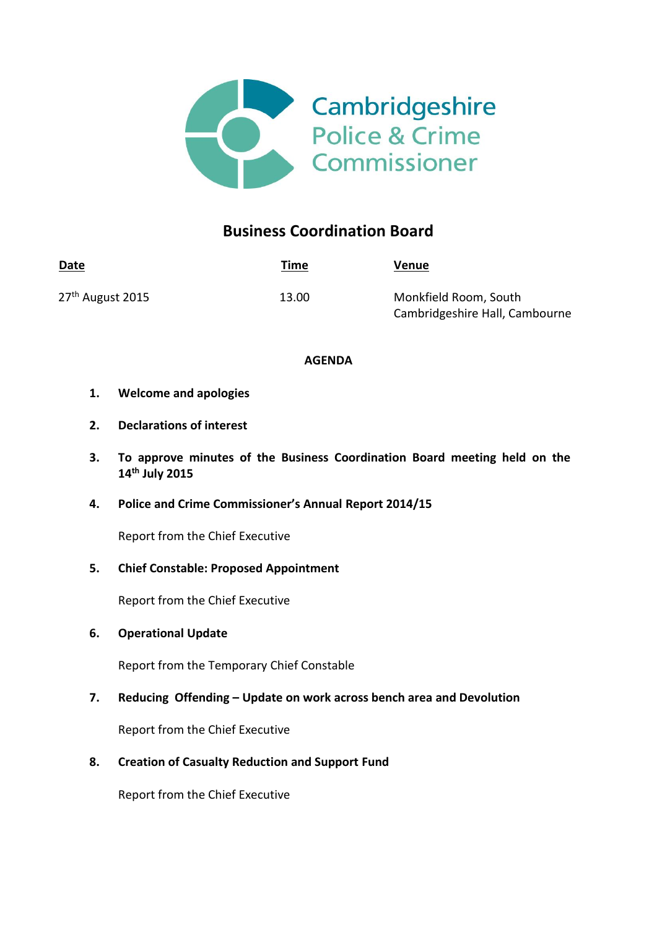

# **Business Coordination Board**

| Date                         | <u>Time</u> | <b>Venue</b>                   |
|------------------------------|-------------|--------------------------------|
| 27 <sup>th</sup> August 2015 | 13.00       | Monkfield Room, South          |
|                              |             | Cambridgeshire Hall, Cambourne |

## **AGENDA**

- **1. Welcome and apologies**
- **2. Declarations of interest**
- **3. To approve minutes of the Business Coordination Board meeting held on the 14 th July 2015**
- **4. Police and Crime Commissioner's Annual Report 2014/15**

Report from the Chief Executive

**5. Chief Constable: Proposed Appointment**

Report from the Chief Executive

**6. Operational Update** 

Report from the Temporary Chief Constable

**7. Reducing Offending – Update on work across bench area and Devolution**

Report from the Chief Executive

**8. Creation of Casualty Reduction and Support Fund** 

Report from the Chief Executive